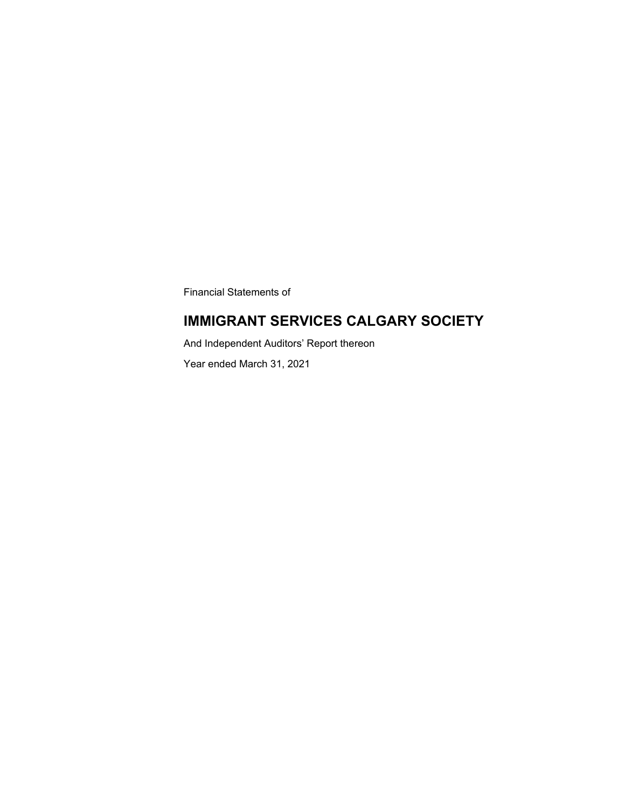Financial Statements of

### **IMMIGRANT SERVICES CALGARY SOCIETY**

And Independent Auditors' Report thereon

Year ended March 31, 2021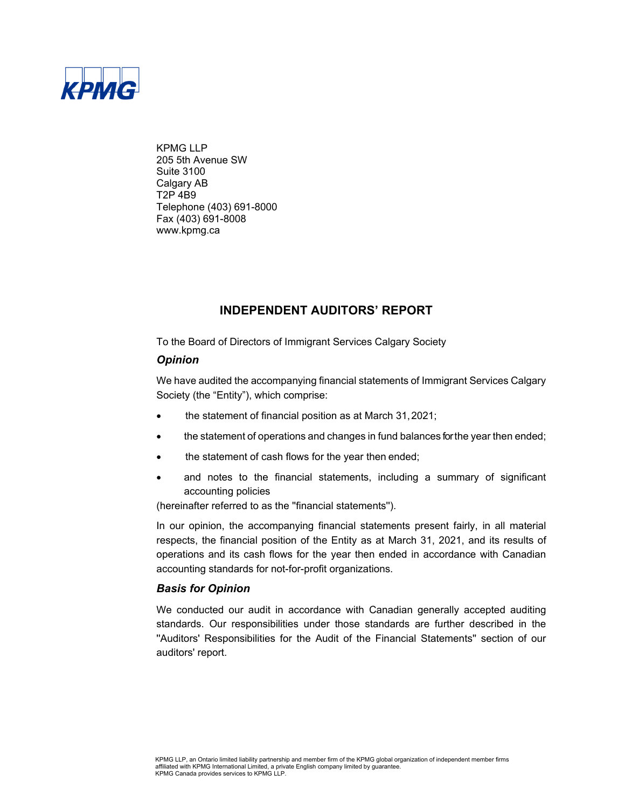

KPMG LLP 205 5th Avenue SW Suite 3100 Calgary AB T2P 4B9 Telephone (403) 691-8000 Fax (403) 691-8008 www.kpmg.ca

### **INDEPENDENT AUDITORS' REPORT**

To the Board of Directors of Immigrant Services Calgary Society

### *Opinion*

We have audited the accompanying financial statements of Immigrant Services Calgary Society (the "Entity"), which comprise:

- the statement of financial position as at March 31, 2021;
- the statement of operations and changes in fund balances for the year then ended;
- the statement of cash flows for the year then ended;
- and notes to the financial statements, including a summary of significant accounting policies

(hereinafter referred to as the ''financial statements'').

In our opinion, the accompanying financial statements present fairly, in all material respects, the financial position of the Entity as at March 31, 2021, and its results of operations and its cash flows for the year then ended in accordance with Canadian accounting standards for not-for-profit organizations.

#### *Basis for Opinion*

We conducted our audit in accordance with Canadian generally accepted auditing standards. Our responsibilities under those standards are further described in the ''Auditors' Responsibilities for the Audit of the Financial Statements'' section of our auditors' report.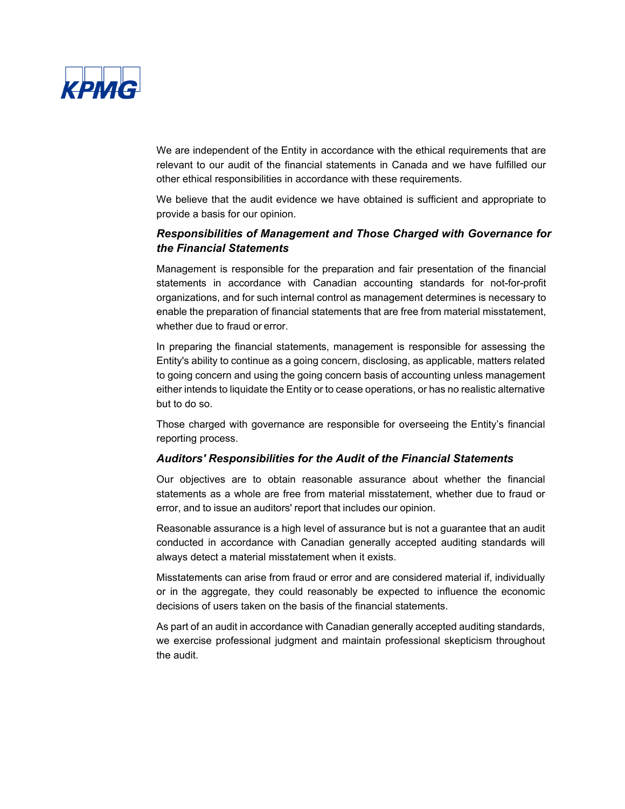

We are independent of the Entity in accordance with the ethical requirements that are relevant to our audit of the financial statements in Canada and we have fulfilled our other ethical responsibilities in accordance with these requirements.

We believe that the audit evidence we have obtained is sufficient and appropriate to provide a basis for our opinion.

### *Responsibilities of Management and Those Charged with Governance for the Financial Statements*

Management is responsible for the preparation and fair presentation of the financial statements in accordance with Canadian accounting standards for not-for-profit organizations, and for such internal control as management determines is necessary to enable the preparation of financial statements that are free from material misstatement, whether due to fraud or error.

In preparing the financial statements, management is responsible for assessing the Entity's ability to continue as a going concern, disclosing, as applicable, matters related to going concern and using the going concern basis of accounting unless management either intends to liquidate the Entity or to cease operations, or has no realistic alternative but to do so.

Those charged with governance are responsible for overseeing the Entity's financial reporting process.

#### *Auditors' Responsibilities for the Audit of the Financial Statements*

Our objectives are to obtain reasonable assurance about whether the financial statements as a whole are free from material misstatement, whether due to fraud or error, and to issue an auditors' report that includes our opinion.

Reasonable assurance is a high level of assurance but is not a guarantee that an audit conducted in accordance with Canadian generally accepted auditing standards will always detect a material misstatement when it exists.

Misstatements can arise from fraud or error and are considered material if, individually or in the aggregate, they could reasonably be expected to influence the economic decisions of users taken on the basis of the financial statements.

As part of an audit in accordance with Canadian generally accepted auditing standards, we exercise professional judgment and maintain professional skepticism throughout the audit.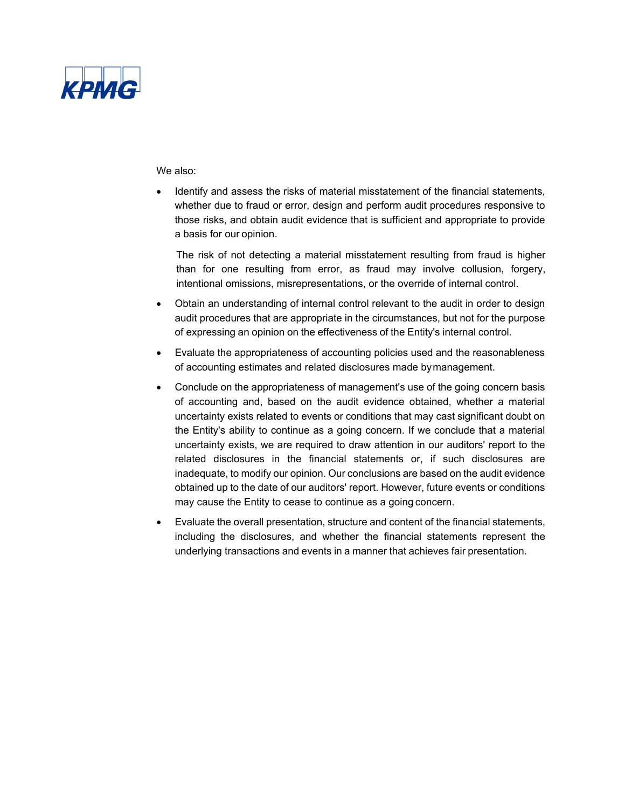

We also:

 Identify and assess the risks of material misstatement of the financial statements, whether due to fraud or error, design and perform audit procedures responsive to those risks, and obtain audit evidence that is sufficient and appropriate to provide a basis for our opinion.

The risk of not detecting a material misstatement resulting from fraud is higher than for one resulting from error, as fraud may involve collusion, forgery, intentional omissions, misrepresentations, or the override of internal control.

- Obtain an understanding of internal control relevant to the audit in order to design audit procedures that are appropriate in the circumstances, but not for the purpose of expressing an opinion on the effectiveness of the Entity's internal control.
- Evaluate the appropriateness of accounting policies used and the reasonableness of accounting estimates and related disclosures made by management.
- Conclude on the appropriateness of management's use of the going concern basis of accounting and, based on the audit evidence obtained, whether a material uncertainty exists related to events or conditions that may cast significant doubt on the Entity's ability to continue as a going concern. If we conclude that a material uncertainty exists, we are required to draw attention in our auditors' report to the related disclosures in the financial statements or, if such disclosures are inadequate, to modify our opinion. Our conclusions are based on the audit evidence obtained up to the date of our auditors' report. However, future events or conditions may cause the Entity to cease to continue as a going concern.
- Evaluate the overall presentation, structure and content of the financial statements, including the disclosures, and whether the financial statements represent the underlying transactions and events in a manner that achieves fair presentation.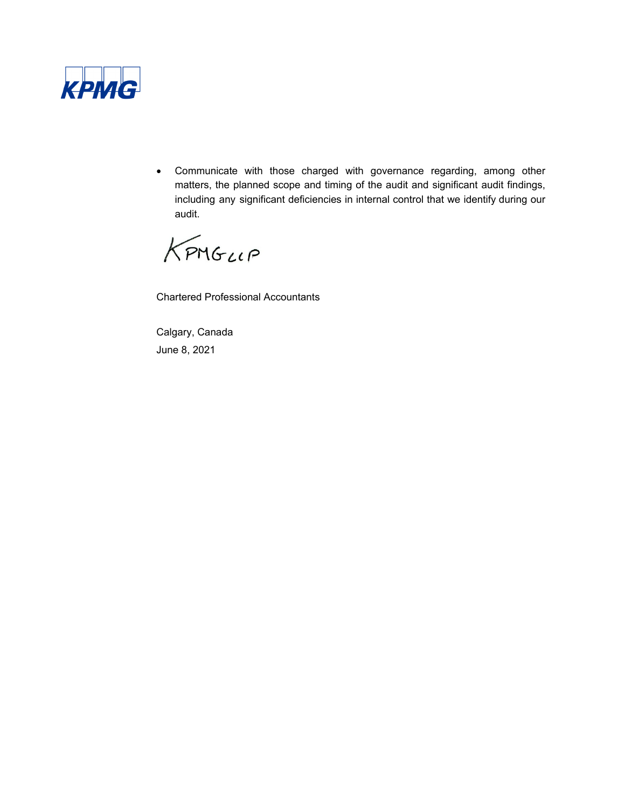

 Communicate with those charged with governance regarding, among other matters, the planned scope and timing of the audit and significant audit findings, including any significant deficiencies in internal control that we identify during our audit.

KPMGLIP

Chartered Professional Accountants

Calgary, Canada June 8, 2021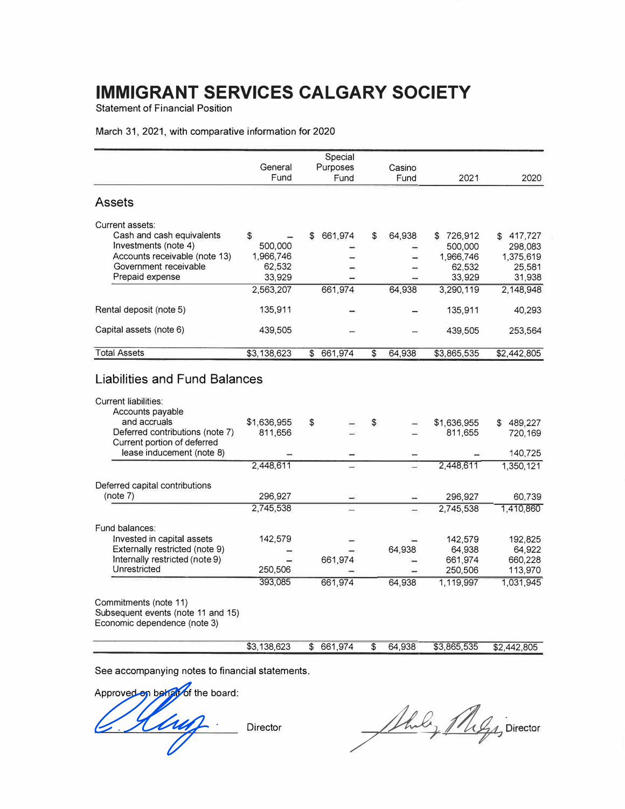Statement of Financial Position

March 31, 2021, with comparative information for 2020

|                                                                                             |             | Special       |                           |        |                      |               |
|---------------------------------------------------------------------------------------------|-------------|---------------|---------------------------|--------|----------------------|---------------|
|                                                                                             | General     | Purposes      |                           | Casino |                      |               |
|                                                                                             | Fund        | Fund          |                           | Fund   | 2021                 | 2020          |
| <b>Assets</b>                                                                               |             |               |                           |        |                      |               |
| Current assets:                                                                             |             |               |                           |        |                      |               |
| Cash and cash equivalents                                                                   | \$          | 661,974<br>\$ | \$                        |        |                      |               |
| Investments (note 4)                                                                        | 500,000     |               |                           | 64,938 | \$726,912            | 417,727<br>\$ |
| Accounts receivable (note 13)                                                               | 1,966,746   |               |                           |        | 500,000<br>1,966,746 | 298,083       |
| Government receivable                                                                       | 62,532      |               |                           |        |                      | 1,375,619     |
| Prepaid expense                                                                             | 33,929      |               |                           |        | 62,532<br>33,929     | 25,581        |
|                                                                                             |             |               |                           |        |                      | 31,938        |
|                                                                                             | 2,563,207   | 661,974       |                           | 64,938 | 3,290,119            | 2,148,948     |
| Rental deposit (note 5)                                                                     | 135,911     |               |                           |        | 135,911              | 40,293        |
| Capital assets (note 6)                                                                     | 439,505     |               |                           |        | 439,505              | 253,564       |
| <b>Total Assets</b>                                                                         | \$3,138,623 | \$<br>661,974 | \$                        | 64,938 | \$3,865,535          | \$2,442,805   |
|                                                                                             |             |               |                           |        |                      |               |
| <b>Liabilities and Fund Balances</b><br>Current liabilities:                                |             |               |                           |        |                      |               |
| Accounts payable                                                                            |             |               |                           |        |                      |               |
| and accruals                                                                                | \$1,636,955 | \$            | \$                        |        | \$1,636,955          | \$489,227     |
| Deferred contributions (note 7)                                                             | 811,656     |               |                           |        | 811,655              | 720,169       |
| Current portion of deferred                                                                 |             |               |                           |        |                      |               |
| lease inducement (note 8)                                                                   |             |               |                           |        |                      | 140,725       |
|                                                                                             | 2,448,611   |               |                           |        | 2,448,611            | 1,350,121     |
| Deferred capital contributions                                                              |             |               |                           |        |                      |               |
| (note 7)                                                                                    | 296,927     |               |                           |        | 296,927              | 60,739        |
|                                                                                             | 2,745,538   |               |                           |        | 2,745,538            | 1,410,860     |
| Fund balances:                                                                              |             |               |                           |        |                      |               |
| Invested in capital assets                                                                  | 142,579     |               |                           |        | 142,579              | 192,825       |
| Externally restricted (note 9)                                                              |             |               |                           | 64,938 | 64,938               | 64,922        |
| Internally restricted (note 9)                                                              |             | 661,974       |                           |        | 661,974              | 660,228       |
| Unrestricted                                                                                | 250,506     |               |                           |        | 250,506              | 113,970       |
|                                                                                             | 393,085     | 661,974       |                           | 64,938 | 1,119,997            | 1,031,945     |
| Commitments (note 11)<br>Subsequent events (note 11 and 15)<br>Economic dependence (note 3) |             |               |                           |        |                      |               |
|                                                                                             | \$3,138,623 | \$<br>661,974 | $\overline{\mathfrak{s}}$ | 64.938 | \$3,865,535          | \$2,442,805   |

See accompanying notes to financial statements.

Approved on behalf of the board:

My **Director** 

Ahl, Mag i Director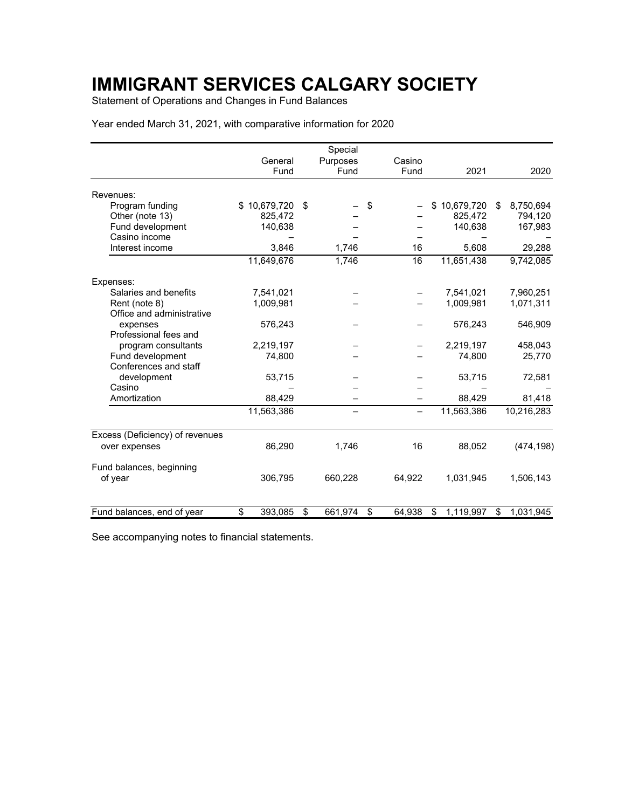Statement of Operations and Changes in Fund Balances

|                                 |               | Special       |              |                  |                 |
|---------------------------------|---------------|---------------|--------------|------------------|-----------------|
|                                 | General       | Purposes      | Casino       |                  |                 |
|                                 | Fund          | Fund          | Fund         | 2021             | 2020            |
| Revenues:                       |               |               |              |                  |                 |
| Program funding                 | 10,679,720    | \$            | \$           | 10,679,720<br>\$ | 8,750,694<br>\$ |
| Other (note 13)                 | 825,472       |               |              | 825,472          | 794,120         |
| Fund development                | 140,638       |               |              | 140,638          | 167,983         |
| Casino income                   |               |               |              |                  |                 |
| Interest income                 | 3,846         | 1.746         | 16           | 5,608            | 29,288          |
|                                 | 11,649,676    | 1,746         | 16           | 11,651,438       | 9,742,085       |
| Expenses:                       |               |               |              |                  |                 |
| Salaries and benefits           | 7,541,021     |               |              | 7,541,021        | 7,960,251       |
| Rent (note 8)                   | 1,009,981     |               |              | 1,009,981        | 1,071,311       |
| Office and administrative       |               |               |              |                  |                 |
| expenses                        | 576,243       |               |              | 576,243          | 546,909         |
| Professional fees and           |               |               |              |                  |                 |
| program consultants             | 2,219,197     |               |              | 2,219,197        | 458,043         |
| Fund development                | 74,800        |               |              | 74,800           | 25,770          |
| Conferences and staff           |               |               |              |                  |                 |
| development                     | 53,715        |               |              | 53,715           | 72,581          |
| Casino                          |               |               |              |                  |                 |
| Amortization                    | 88,429        |               |              | 88,429           | 81,418          |
|                                 | 11,563,386    |               |              | 11,563,386       | 10,216,283      |
| Excess (Deficiency) of revenues |               |               |              |                  |                 |
| over expenses                   | 86,290        | 1,746         | 16           | 88,052           | (474, 198)      |
| Fund balances, beginning        |               |               |              |                  |                 |
| of year                         | 306,795       | 660,228       | 64,922       | 1,031,945        | 1,506,143       |
|                                 | \$<br>393,085 | \$<br>661,974 | \$<br>64,938 | 1,119,997<br>\$  | 1,031,945<br>\$ |
| Fund balances, end of year      |               |               |              |                  |                 |

Year ended March 31, 2021, with comparative information for 2020

See accompanying notes to financial statements.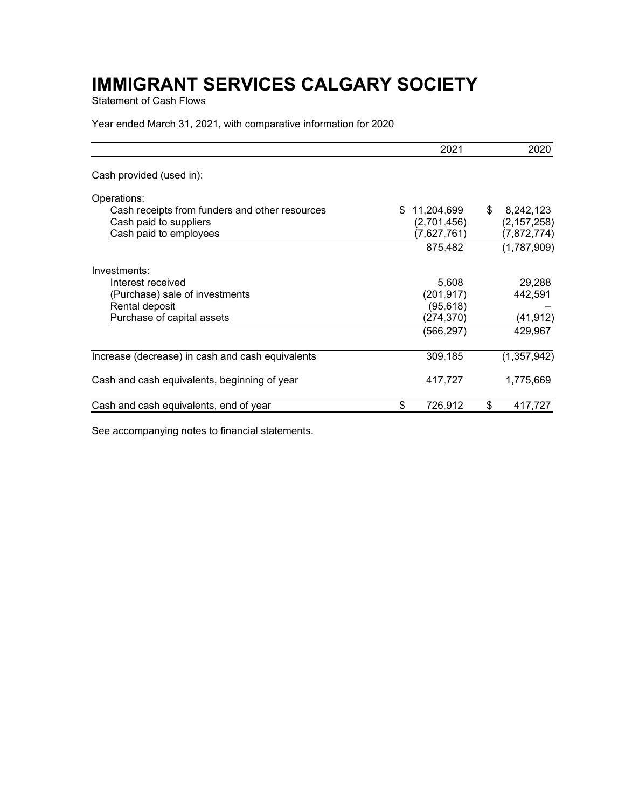Statement of Cash Flows

Year ended March 31, 2021, with comparative information for 2020

|                                                  |     | 2021        | 2020            |
|--------------------------------------------------|-----|-------------|-----------------|
| Cash provided (used in):                         |     |             |                 |
| Operations:                                      |     |             |                 |
| Cash receipts from funders and other resources   | \$. | 11,204,699  | \$<br>8,242,123 |
| Cash paid to suppliers                           |     | (2,701,456) | (2, 157, 258)   |
| Cash paid to employees                           |     | (7,627,761) | (7,872,774)     |
|                                                  |     | 875,482     | (1,787,909)     |
| Investments:                                     |     |             |                 |
| Interest received                                |     | 5,608       | 29,288          |
| (Purchase) sale of investments                   |     | (201, 917)  | 442,591         |
| Rental deposit                                   |     | (95, 618)   |                 |
| Purchase of capital assets                       |     | (274,370)   | (41, 912)       |
|                                                  |     | (566, 297)  | 429,967         |
| Increase (decrease) in cash and cash equivalents |     | 309,185     | (1, 357, 942)   |
| Cash and cash equivalents, beginning of year     |     | 417,727     | 1,775,669       |
| Cash and cash equivalents, end of year           | \$  | 726,912     | \$<br>417,727   |

See accompanying notes to financial statements.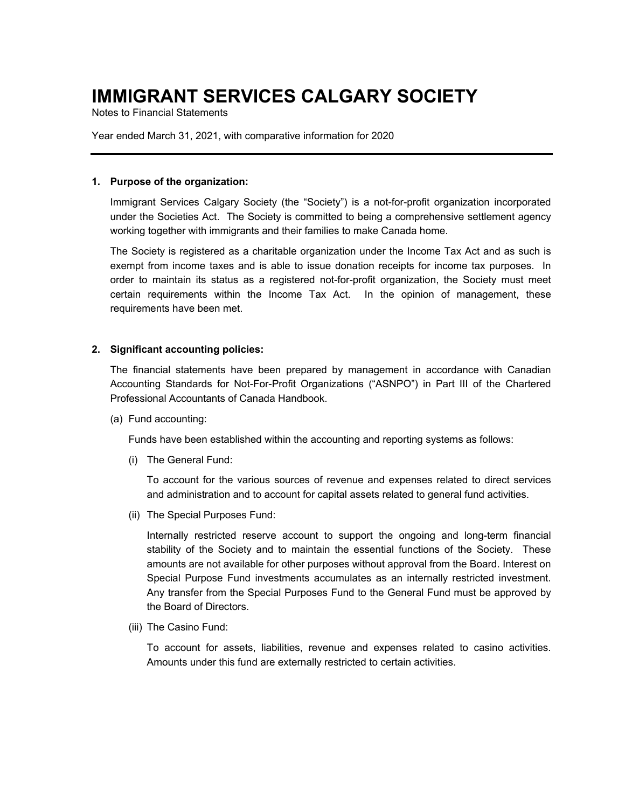Notes to Financial Statements

Year ended March 31, 2021, with comparative information for 2020

#### **1. Purpose of the organization:**

Immigrant Services Calgary Society (the "Society") is a not-for-profit organization incorporated under the Societies Act. The Society is committed to being a comprehensive settlement agency working together with immigrants and their families to make Canada home.

The Society is registered as a charitable organization under the Income Tax Act and as such is exempt from income taxes and is able to issue donation receipts for income tax purposes. In order to maintain its status as a registered not-for-profit organization, the Society must meet certain requirements within the Income Tax Act. In the opinion of management, these requirements have been met.

#### **2. Significant accounting policies:**

The financial statements have been prepared by management in accordance with Canadian Accounting Standards for Not-For-Profit Organizations ("ASNPO") in Part III of the Chartered Professional Accountants of Canada Handbook.

(a) Fund accounting:

Funds have been established within the accounting and reporting systems as follows:

(i) The General Fund:

To account for the various sources of revenue and expenses related to direct services and administration and to account for capital assets related to general fund activities.

(ii) The Special Purposes Fund:

Internally restricted reserve account to support the ongoing and long-term financial stability of the Society and to maintain the essential functions of the Society. These amounts are not available for other purposes without approval from the Board. Interest on Special Purpose Fund investments accumulates as an internally restricted investment. Any transfer from the Special Purposes Fund to the General Fund must be approved by the Board of Directors.

(iii) The Casino Fund:

To account for assets, liabilities, revenue and expenses related to casino activities. Amounts under this fund are externally restricted to certain activities.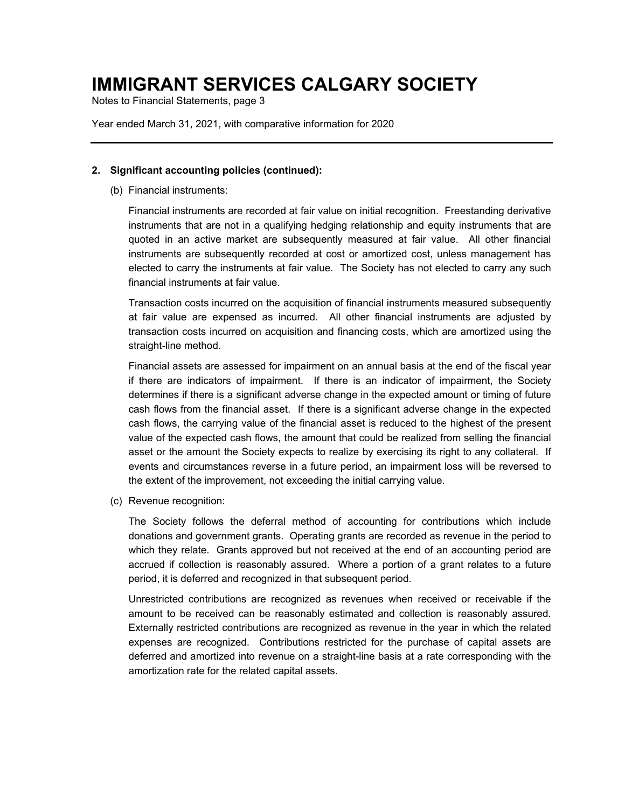Notes to Financial Statements, page 3

Year ended March 31, 2021, with comparative information for 2020

#### **2. Significant accounting policies (continued):**

(b) Financial instruments:

Financial instruments are recorded at fair value on initial recognition. Freestanding derivative instruments that are not in a qualifying hedging relationship and equity instruments that are quoted in an active market are subsequently measured at fair value. All other financial instruments are subsequently recorded at cost or amortized cost, unless management has elected to carry the instruments at fair value. The Society has not elected to carry any such financial instruments at fair value.

Transaction costs incurred on the acquisition of financial instruments measured subsequently at fair value are expensed as incurred. All other financial instruments are adjusted by transaction costs incurred on acquisition and financing costs, which are amortized using the straight-line method.

Financial assets are assessed for impairment on an annual basis at the end of the fiscal year if there are indicators of impairment. If there is an indicator of impairment, the Society determines if there is a significant adverse change in the expected amount or timing of future cash flows from the financial asset. If there is a significant adverse change in the expected cash flows, the carrying value of the financial asset is reduced to the highest of the present value of the expected cash flows, the amount that could be realized from selling the financial asset or the amount the Society expects to realize by exercising its right to any collateral. If events and circumstances reverse in a future period, an impairment loss will be reversed to the extent of the improvement, not exceeding the initial carrying value.

(c) Revenue recognition:

The Society follows the deferral method of accounting for contributions which include donations and government grants. Operating grants are recorded as revenue in the period to which they relate. Grants approved but not received at the end of an accounting period are accrued if collection is reasonably assured. Where a portion of a grant relates to a future period, it is deferred and recognized in that subsequent period.

Unrestricted contributions are recognized as revenues when received or receivable if the amount to be received can be reasonably estimated and collection is reasonably assured. Externally restricted contributions are recognized as revenue in the year in which the related expenses are recognized. Contributions restricted for the purchase of capital assets are deferred and amortized into revenue on a straight-line basis at a rate corresponding with the amortization rate for the related capital assets.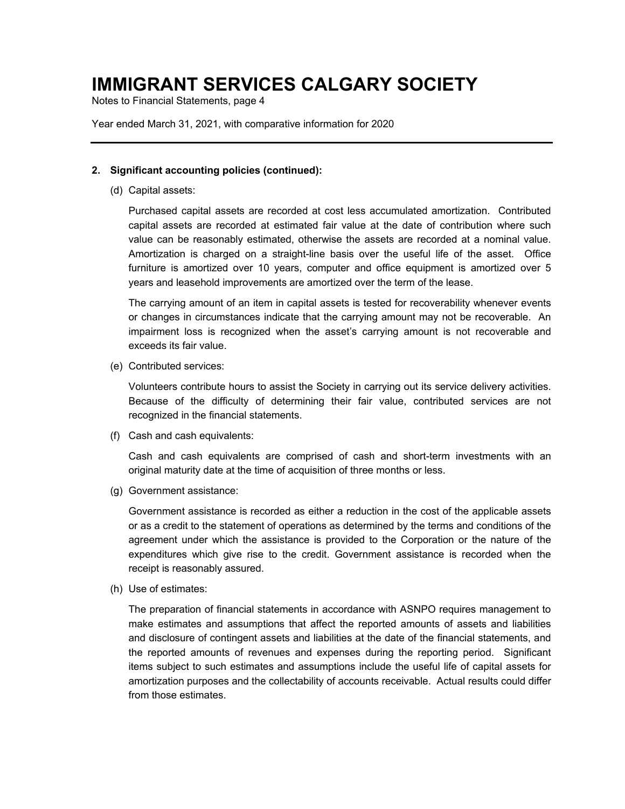Notes to Financial Statements, page 4

Year ended March 31, 2021, with comparative information for 2020

#### **2. Significant accounting policies (continued):**

(d) Capital assets:

Purchased capital assets are recorded at cost less accumulated amortization. Contributed capital assets are recorded at estimated fair value at the date of contribution where such value can be reasonably estimated, otherwise the assets are recorded at a nominal value. Amortization is charged on a straight-line basis over the useful life of the asset. Office furniture is amortized over 10 years, computer and office equipment is amortized over 5 years and leasehold improvements are amortized over the term of the lease.

The carrying amount of an item in capital assets is tested for recoverability whenever events or changes in circumstances indicate that the carrying amount may not be recoverable. An impairment loss is recognized when the asset's carrying amount is not recoverable and exceeds its fair value.

(e) Contributed services:

Volunteers contribute hours to assist the Society in carrying out its service delivery activities. Because of the difficulty of determining their fair value, contributed services are not recognized in the financial statements.

(f) Cash and cash equivalents:

Cash and cash equivalents are comprised of cash and short-term investments with an original maturity date at the time of acquisition of three months or less.

(g) Government assistance:

Government assistance is recorded as either a reduction in the cost of the applicable assets or as a credit to the statement of operations as determined by the terms and conditions of the agreement under which the assistance is provided to the Corporation or the nature of the expenditures which give rise to the credit. Government assistance is recorded when the receipt is reasonably assured.

(h) Use of estimates:

The preparation of financial statements in accordance with ASNPO requires management to make estimates and assumptions that affect the reported amounts of assets and liabilities and disclosure of contingent assets and liabilities at the date of the financial statements, and the reported amounts of revenues and expenses during the reporting period. Significant items subject to such estimates and assumptions include the useful life of capital assets for amortization purposes and the collectability of accounts receivable. Actual results could differ from those estimates.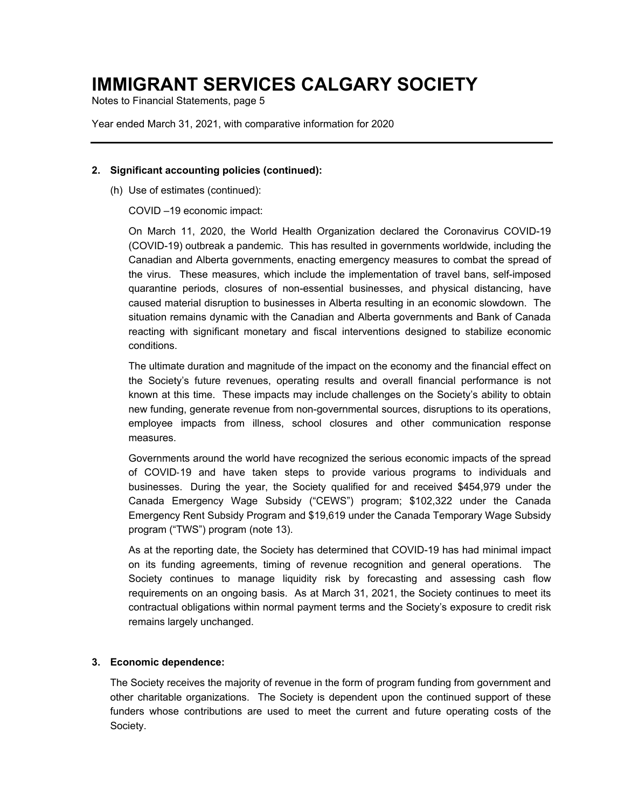Notes to Financial Statements, page 5

Year ended March 31, 2021, with comparative information for 2020

#### **2. Significant accounting policies (continued):**

(h) Use of estimates (continued):

COVID –19 economic impact:

On March 11, 2020, the World Health Organization declared the Coronavirus COVID-19 (COVID-19) outbreak a pandemic. This has resulted in governments worldwide, including the Canadian and Alberta governments, enacting emergency measures to combat the spread of the virus. These measures, which include the implementation of travel bans, self-imposed quarantine periods, closures of non-essential businesses, and physical distancing, have caused material disruption to businesses in Alberta resulting in an economic slowdown. The situation remains dynamic with the Canadian and Alberta governments and Bank of Canada reacting with significant monetary and fiscal interventions designed to stabilize economic conditions.

The ultimate duration and magnitude of the impact on the economy and the financial effect on the Society's future revenues, operating results and overall financial performance is not known at this time. These impacts may include challenges on the Society's ability to obtain new funding, generate revenue from non-governmental sources, disruptions to its operations, employee impacts from illness, school closures and other communication response measures.

Governments around the world have recognized the serious economic impacts of the spread of COVID-19 and have taken steps to provide various programs to individuals and businesses. During the year, the Society qualified for and received \$454,979 under the Canada Emergency Wage Subsidy ("CEWS") program; \$102,322 under the Canada Emergency Rent Subsidy Program and \$19,619 under the Canada Temporary Wage Subsidy program ("TWS") program (note 13).

As at the reporting date, the Society has determined that COVID-19 has had minimal impact on its funding agreements, timing of revenue recognition and general operations. The Society continues to manage liquidity risk by forecasting and assessing cash flow requirements on an ongoing basis. As at March 31, 2021, the Society continues to meet its contractual obligations within normal payment terms and the Society's exposure to credit risk remains largely unchanged.

#### **3. Economic dependence:**

The Society receives the majority of revenue in the form of program funding from government and other charitable organizations. The Society is dependent upon the continued support of these funders whose contributions are used to meet the current and future operating costs of the Society.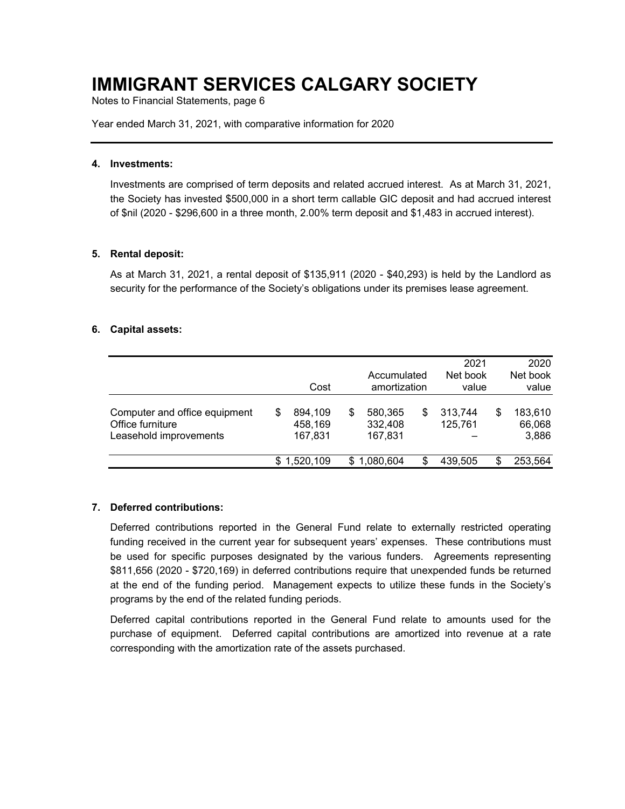Notes to Financial Statements, page 6

Year ended March 31, 2021, with comparative information for 2020

#### **4. Investments:**

Investments are comprised of term deposits and related accrued interest. As at March 31, 2021, the Society has invested \$500,000 in a short term callable GIC deposit and had accrued interest of \$nil (2020 - \$296,600 in a three month, 2.00% term deposit and \$1,483 in accrued interest).

#### **5. Rental deposit:**

As at March 31, 2021, a rental deposit of \$135,911 (2020 - \$40,293) is held by the Landlord as security for the performance of the Society's obligations under its premises lease agreement.

#### **6. Capital assets:**

|                                                                             |    | Cost                          | Accumulated<br>amortization |                               | 2021<br>Net book<br>value |                    | 2020<br>Net book<br>value |                            |
|-----------------------------------------------------------------------------|----|-------------------------------|-----------------------------|-------------------------------|---------------------------|--------------------|---------------------------|----------------------------|
| Computer and office equipment<br>Office furniture<br>Leasehold improvements | \$ | 894.109<br>458,169<br>167,831 | S                           | 580,365<br>332,408<br>167.831 | S                         | 313.744<br>125,761 | S                         | 183,610<br>66,068<br>3,886 |
|                                                                             | S  | 1,520,109                     |                             | \$1,080,604                   |                           | 439,505            | S.                        | 253,564                    |

#### **7. Deferred contributions:**

Deferred contributions reported in the General Fund relate to externally restricted operating funding received in the current year for subsequent years' expenses. These contributions must be used for specific purposes designated by the various funders. Agreements representing \$811,656 (2020 - \$720,169) in deferred contributions require that unexpended funds be returned at the end of the funding period. Management expects to utilize these funds in the Society's programs by the end of the related funding periods.

Deferred capital contributions reported in the General Fund relate to amounts used for the purchase of equipment. Deferred capital contributions are amortized into revenue at a rate corresponding with the amortization rate of the assets purchased.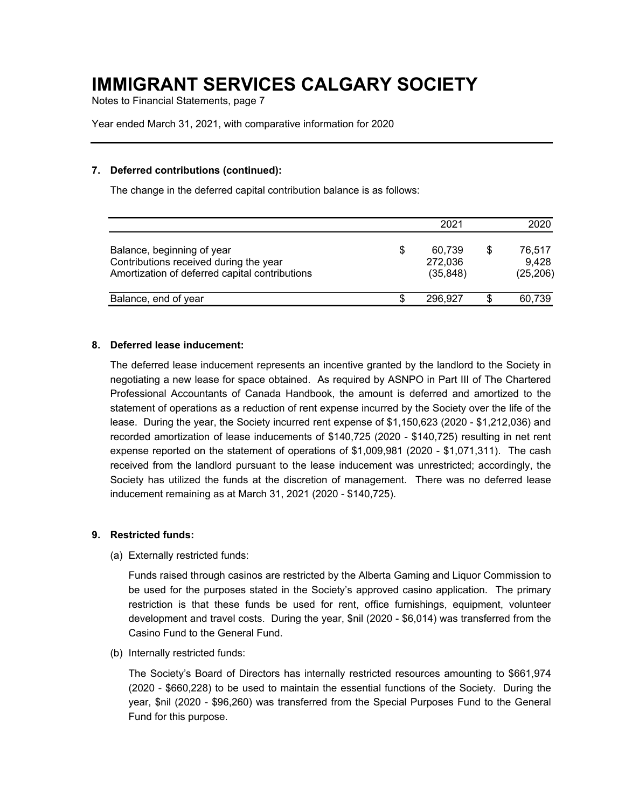Notes to Financial Statements, page 7

Year ended March 31, 2021, with comparative information for 2020

#### **7. Deferred contributions (continued):**

The change in the deferred capital contribution balance is as follows:

|                                                                                                                        | 2021                           |   | 2020                         |
|------------------------------------------------------------------------------------------------------------------------|--------------------------------|---|------------------------------|
| Balance, beginning of year<br>Contributions received during the year<br>Amortization of deferred capital contributions | 60,739<br>272,036<br>(35, 848) | S | 76.517<br>9,428<br>(25, 206) |
| Balance, end of year                                                                                                   | 296.927                        |   | 60,739                       |

#### **8. Deferred lease inducement:**

The deferred lease inducement represents an incentive granted by the landlord to the Society in negotiating a new lease for space obtained. As required by ASNPO in Part III of The Chartered Professional Accountants of Canada Handbook, the amount is deferred and amortized to the statement of operations as a reduction of rent expense incurred by the Society over the life of the lease. During the year, the Society incurred rent expense of \$1,150,623 (2020 - \$1,212,036) and recorded amortization of lease inducements of \$140,725 (2020 - \$140,725) resulting in net rent expense reported on the statement of operations of \$1,009,981 (2020 - \$1,071,311). The cash received from the landlord pursuant to the lease inducement was unrestricted; accordingly, the Society has utilized the funds at the discretion of management. There was no deferred lease inducement remaining as at March 31, 2021 (2020 - \$140,725).

#### **9. Restricted funds:**

(a) Externally restricted funds:

Funds raised through casinos are restricted by the Alberta Gaming and Liquor Commission to be used for the purposes stated in the Society's approved casino application. The primary restriction is that these funds be used for rent, office furnishings, equipment, volunteer development and travel costs. During the year, \$nil (2020 - \$6,014) was transferred from the Casino Fund to the General Fund.

(b) Internally restricted funds:

The Society's Board of Directors has internally restricted resources amounting to \$661,974 (2020 - \$660,228) to be used to maintain the essential functions of the Society. During the year, \$nil (2020 - \$96,260) was transferred from the Special Purposes Fund to the General Fund for this purpose.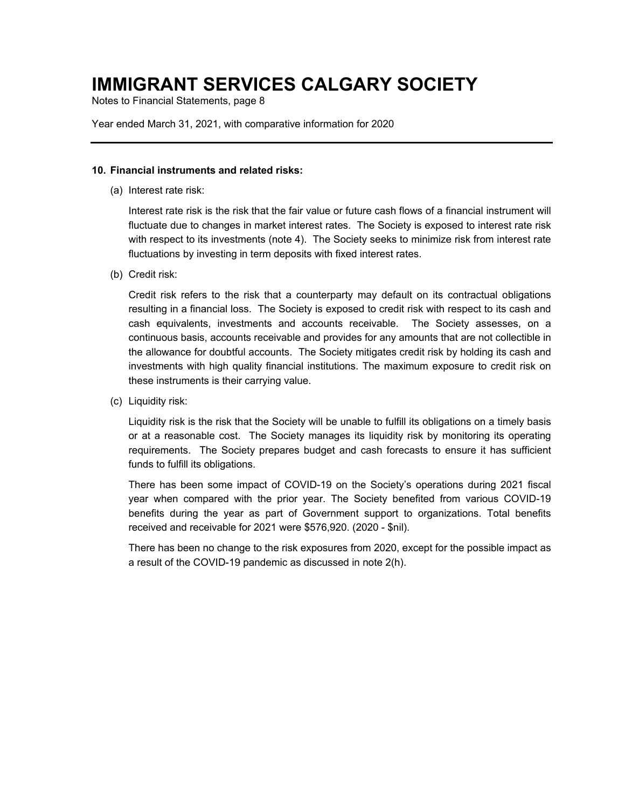Notes to Financial Statements, page 8

Year ended March 31, 2021, with comparative information for 2020

#### **10. Financial instruments and related risks:**

(a) Interest rate risk:

Interest rate risk is the risk that the fair value or future cash flows of a financial instrument will fluctuate due to changes in market interest rates. The Society is exposed to interest rate risk with respect to its investments (note 4). The Society seeks to minimize risk from interest rate fluctuations by investing in term deposits with fixed interest rates.

(b) Credit risk:

Credit risk refers to the risk that a counterparty may default on its contractual obligations resulting in a financial loss. The Society is exposed to credit risk with respect to its cash and cash equivalents, investments and accounts receivable. The Society assesses, on a continuous basis, accounts receivable and provides for any amounts that are not collectible in the allowance for doubtful accounts. The Society mitigates credit risk by holding its cash and investments with high quality financial institutions. The maximum exposure to credit risk on these instruments is their carrying value.

(c) Liquidity risk:

Liquidity risk is the risk that the Society will be unable to fulfill its obligations on a timely basis or at a reasonable cost. The Society manages its liquidity risk by monitoring its operating requirements. The Society prepares budget and cash forecasts to ensure it has sufficient funds to fulfill its obligations.

There has been some impact of COVID-19 on the Society's operations during 2021 fiscal year when compared with the prior year. The Society benefited from various COVID-19 benefits during the year as part of Government support to organizations. Total benefits received and receivable for 2021 were \$576,920. (2020 - \$nil).

There has been no change to the risk exposures from 2020, except for the possible impact as a result of the COVID-19 pandemic as discussed in note 2(h).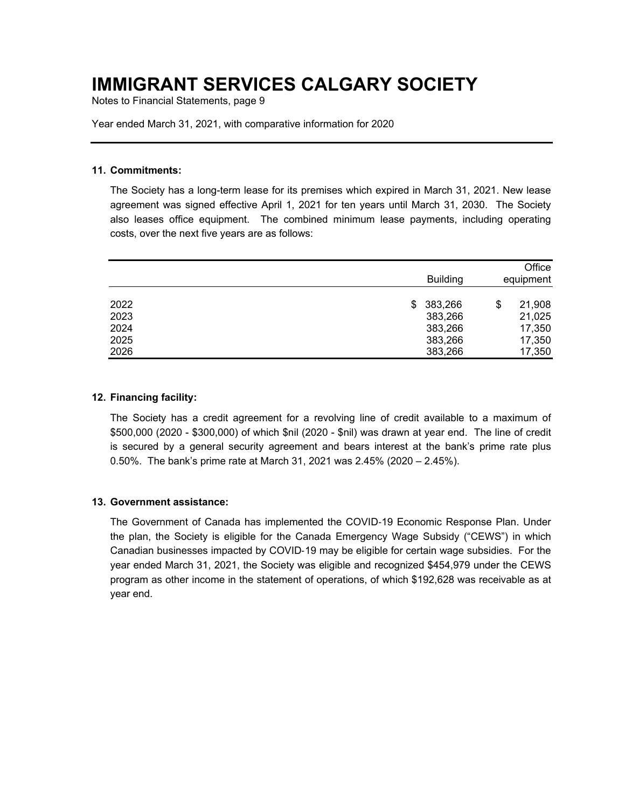Notes to Financial Statements, page 9

Year ended March 31, 2021, with comparative information for 2020

#### **11. Commitments:**

The Society has a long-term lease for its premises which expired in March 31, 2021. New lease agreement was signed effective April 1, 2021 for ten years until March 31, 2030. The Society also leases office equipment. The combined minimum lease payments, including operating costs, over the next five years are as follows:

|      |                 | Office       |
|------|-----------------|--------------|
|      | <b>Building</b> | equipment    |
| 2022 | 383,266<br>\$   | 21,908<br>\$ |
| 2023 | 383,266         | 21,025       |
| 2024 | 383,266         | 17,350       |
| 2025 | 383,266         | 17,350       |
| 2026 | 383,266         | 17,350       |

#### **12. Financing facility:**

The Society has a credit agreement for a revolving line of credit available to a maximum of \$500,000 (2020 - \$300,000) of which \$nil (2020 - \$nil) was drawn at year end. The line of credit is secured by a general security agreement and bears interest at the bank's prime rate plus 0.50%. The bank's prime rate at March 31, 2021 was 2.45% (2020 – 2.45%).

#### **13. Government assistance:**

The Government of Canada has implemented the COVID-19 Economic Response Plan. Under the plan, the Society is eligible for the Canada Emergency Wage Subsidy ("CEWS") in which Canadian businesses impacted by COVID-19 may be eligible for certain wage subsidies. For the year ended March 31, 2021, the Society was eligible and recognized \$454,979 under the CEWS program as other income in the statement of operations, of which \$192,628 was receivable as at year end.